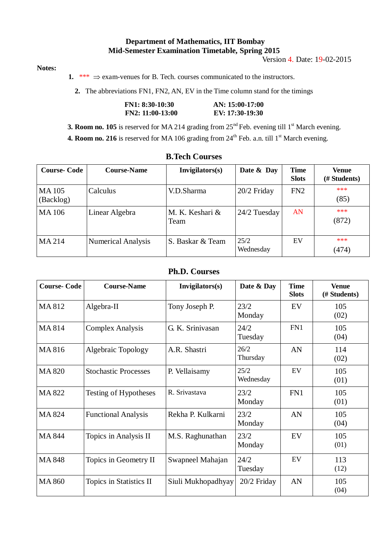## **Department of Mathematics, IIT Bombay Mid-Semester Examination Timetable, Spring 2015**

Version 4. Date: 19-02-2015

## **Notes:**

**1.** \*\*\*  $\Rightarrow$  exam-venues for B. Tech. courses communicated to the instructors.

**2.** The abbreviations FN1, FN2, AN, EV in the Time column stand for the timings

| $FN1: 8:30-10:30$  | AN: 15:00-17:00 |
|--------------------|-----------------|
| $FN2: 11:00-13:00$ | EV: 17:30-19:30 |

**3. Room no. 105** is reserved for MA 214 grading from 25<sup>nd</sup> Feb. evening till 1<sup>st</sup> March evening.

**4. Room no. 216** is reserved for MA 106 grading from 24<sup>th</sup> Feb. a.n. till 1<sup>st</sup> March evening.

| <b>Course-Code</b>        | <b>Course-Name</b>        | Invigilators(s)         | Date & Day        | <b>Time</b><br><b>Slots</b> | Venue<br>(# Students) |
|---------------------------|---------------------------|-------------------------|-------------------|-----------------------------|-----------------------|
| <b>MA105</b><br>(Backlog) | Calculus                  | V.D.Sharma              | $20/2$ Friday     | FN2                         | ***<br>(85)           |
| <b>MA106</b>              | Linear Algebra            | M. K. Keshari &<br>Team | $24/2$ Tuesday    | AN                          | ***<br>(872)          |
| MA 214                    | <b>Numerical Analysis</b> | S. Baskar & Team        | 25/2<br>Wednesday | EV                          | ***<br>(474)          |

## **B.Tech Courses**

## **Ph.D. Courses**

| <b>Course-Code</b> | <b>Course-Name</b>          | Invigilators(s)    | Date & Day        | <b>Time</b><br><b>Slots</b> | <b>Venue</b><br>(# Students) |
|--------------------|-----------------------------|--------------------|-------------------|-----------------------------|------------------------------|
| MA812              | Algebra-II                  | Tony Joseph P.     | 23/2<br>Monday    | EV                          | 105<br>(02)                  |
| MA814              | <b>Complex Analysis</b>     | G. K. Srinivasan   | 24/2<br>Tuesday   | FN1                         | 105<br>(04)                  |
| MA816              | <b>Algebraic Topology</b>   | A.R. Shastri       | 26/2<br>Thursday  | AN                          | 114<br>(02)                  |
| <b>MA 820</b>      | <b>Stochastic Processes</b> | P. Vellaisamy      | 25/2<br>Wednesday | EV                          | 105<br>(01)                  |
| <b>MA 822</b>      | Testing of Hypotheses       | R. Srivastava      | 23/2<br>Monday    | FN1                         | 105<br>(01)                  |
| <b>MA 824</b>      | <b>Functional Analysis</b>  | Rekha P. Kulkarni  | 23/2<br>Monday    | AN                          | 105<br>(04)                  |
| <b>MA 844</b>      | Topics in Analysis II       | M.S. Raghunathan   | 23/2<br>Monday    | EV                          | 105<br>(01)                  |
| <b>MA 848</b>      | Topics in Geometry II       | Swapneel Mahajan   | 24/2<br>Tuesday   | EV                          | 113<br>(12)                  |
| <b>MA 860</b>      | Topics in Statistics II     | Siuli Mukhopadhyay | $20/2$ Friday     | AN                          | 105<br>(04)                  |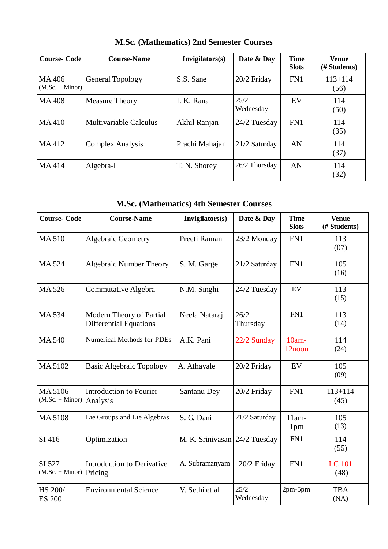| <b>Course-Code</b>         | <b>Course-Name</b>      | Invigilators(s) | Date & Day        | <b>Time</b><br><b>Slots</b> | Venue<br>(# Students) |
|----------------------------|-------------------------|-----------------|-------------------|-----------------------------|-----------------------|
| MA406<br>$(M.Sc. + Minor)$ | <b>General Topology</b> | S.S. Sane       | 20/2 Friday       | FN1                         | $113 + 114$<br>(56)   |
| <b>MA408</b>               | <b>Measure Theory</b>   | I. K. Rana      | 25/2<br>Wednesday | EV                          | 114<br>(50)           |
| MA410                      | Multivariable Calculus  | Akhil Ranjan    | 24/2 Tuesday      | FN1                         | 114<br>(35)           |
| MA412                      | <b>Complex Analysis</b> | Prachi Mahajan  | $21/2$ Saturday   | AN                          | 114<br>(37)           |
| MA414                      | Algebra-I               | T. N. Shorey    | 26/2 Thursday     | AN                          | 114<br>(32)           |

**M.Sc. (Mathematics) 2nd Semester Courses**

**M.Sc. (Mathematics) 4th Semester Courses**

| <b>Course-Code</b>                  | <b>Course-Name</b>                                        | Invigilators(s)               | Date & Day        | <b>Time</b><br><b>Slots</b> | <b>Venue</b><br>(# Students) |
|-------------------------------------|-----------------------------------------------------------|-------------------------------|-------------------|-----------------------------|------------------------------|
| <b>MA510</b>                        | Algebraic Geometry                                        | Preeti Raman                  | 23/2 Monday       | FN1                         | 113<br>(07)                  |
| MA 524                              | Algebraic Number Theory                                   | S. M. Garge                   | 21/2 Saturday     | FN1                         | 105<br>(16)                  |
| MA 526                              | Commutative Algebra                                       | N.M. Singhi                   | 24/2 Tuesday      | EV                          | 113<br>(15)                  |
| <b>MA534</b>                        | Modern Theory of Partial<br><b>Differential Equations</b> | Neela Nataraj                 | 26/2<br>Thursday  | FN1                         | 113<br>(14)                  |
| <b>MA540</b>                        | <b>Numerical Methods for PDEs</b>                         | A.K. Pani                     | 22/2 Sunday       | $10am -$<br>12noon          | 114<br>(24)                  |
| MA 5102                             | <b>Basic Algebraic Topology</b>                           | A. Athavale                   | 20/2 Friday       | EV                          | 105<br>(09)                  |
| MA 5106<br>$(M.Sc. + Minor)$        | <b>Introduction to Fourier</b><br>Analysis                | Santanu Dey                   | 20/2 Friday       | FN1                         | $113 + 114$<br>(45)          |
| <b>MA5108</b>                       | Lie Groups and Lie Algebras                               | S. G. Dani                    | 21/2 Saturday     | $11am-$<br>1 <sub>pm</sub>  | 105<br>(13)                  |
| SI 416                              | Optimization                                              | M. K. Srinivasan 24/2 Tuesday |                   | FN1                         | 114<br>(55)                  |
| SI 527<br>$(M.Sc. + Minor)$ Pricing | <b>Introduction to Derivative</b>                         | A. Subramanyam                | 20/2 Friday       | FN1                         | LC 101<br>(48)               |
| HS 200/<br><b>ES 200</b>            | <b>Environmental Science</b>                              | V. Sethi et al                | 25/2<br>Wednesday | $2pm-5pm$                   | <b>TBA</b><br>(NA)           |